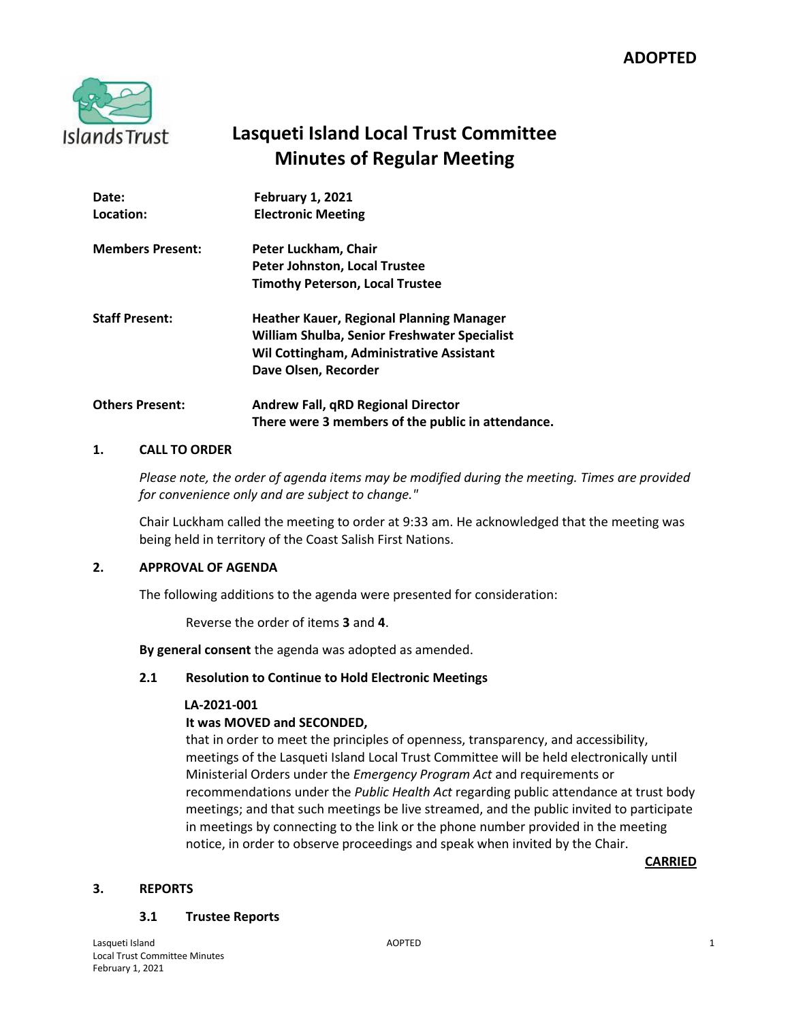

# **Lasqueti Island Local Trust Committee Minutes of Regular Meeting**

| Date:<br>Location:      | <b>February 1, 2021</b><br><b>Electronic Meeting</b>                                                                                                         |
|-------------------------|--------------------------------------------------------------------------------------------------------------------------------------------------------------|
| <b>Members Present:</b> | Peter Luckham, Chair<br>Peter Johnston, Local Trustee<br><b>Timothy Peterson, Local Trustee</b>                                                              |
| <b>Staff Present:</b>   | Heather Kauer, Regional Planning Manager<br>William Shulba, Senior Freshwater Specialist<br>Wil Cottingham, Administrative Assistant<br>Dave Olsen, Recorder |
| <b>Others Present:</b>  | <b>Andrew Fall, qRD Regional Director</b><br>There were 3 members of the public in attendance.                                                               |

# **1. CALL TO ORDER**

*Please note, the order of agenda items may be modified during the meeting. Times are provided for convenience only and are subject to change."*

Chair Luckham called the meeting to order at 9:33 am. He acknowledged that the meeting was being held in territory of the Coast Salish First Nations.

## **2. APPROVAL OF AGENDA**

The following additions to the agenda were presented for consideration:

Reverse the order of items **3** and **4**.

**By general consent** the agenda was adopted as amended.

## **2.1 Resolution to Continue to Hold Electronic Meetings**

## **LA-2021-001**

## **It was MOVED and SECONDED,**

that in order to meet the principles of openness, transparency, and accessibility, meetings of the Lasqueti Island Local Trust Committee will be held electronically until Ministerial Orders under the *Emergency Program Act* and requirements or recommendations under the *Public Health Act* regarding public attendance at trust body meetings; and that such meetings be live streamed, and the public invited to participate in meetings by connecting to the link or the phone number provided in the meeting notice, in order to observe proceedings and speak when invited by the Chair.

**CARRIED**

## **3. REPORTS**

## **3.1 Trustee Reports**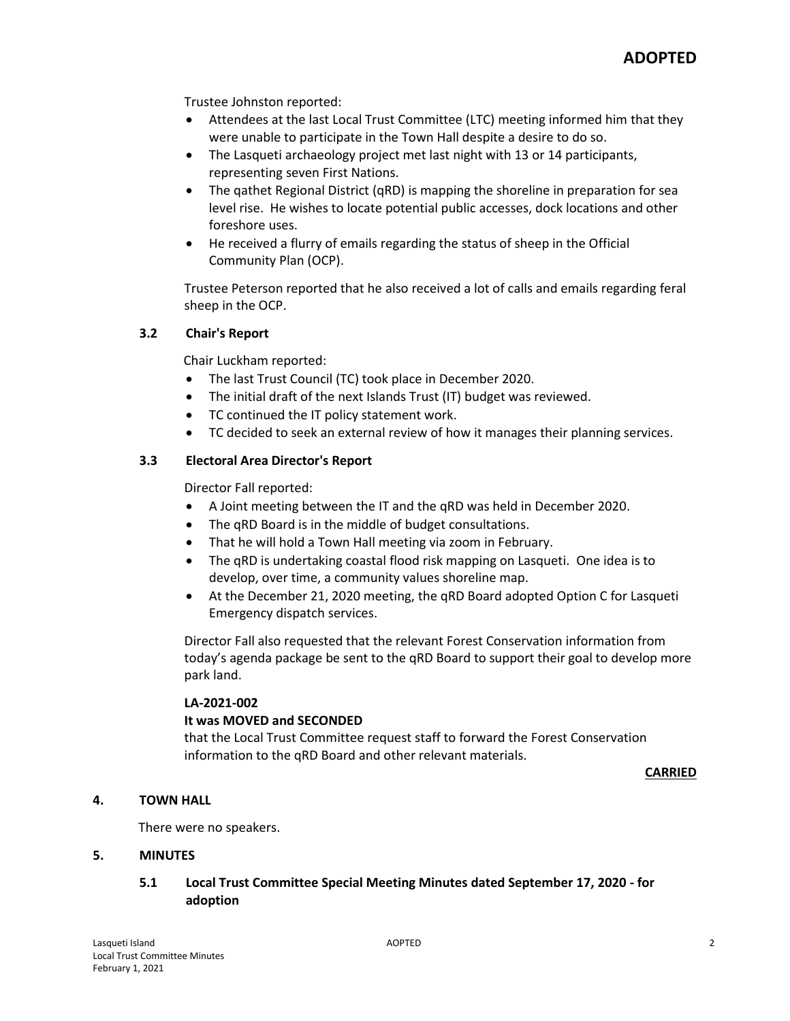Trustee Johnston reported:

- Attendees at the last Local Trust Committee (LTC) meeting informed him that they were unable to participate in the Town Hall despite a desire to do so.
- The Lasqueti archaeology project met last night with 13 or 14 participants, representing seven First Nations.
- The qathet Regional District (qRD) is mapping the shoreline in preparation for sea level rise. He wishes to locate potential public accesses, dock locations and other foreshore uses.
- He received a flurry of emails regarding the status of sheep in the Official Community Plan (OCP).

Trustee Peterson reported that he also received a lot of calls and emails regarding feral sheep in the OCP.

# **3.2 Chair's Report**

Chair Luckham reported:

- The last Trust Council (TC) took place in December 2020.
- The initial draft of the next Islands Trust (IT) budget was reviewed.
- TC continued the IT policy statement work.
- TC decided to seek an external review of how it manages their planning services.

# **3.3 Electoral Area Director's Report**

Director Fall reported:

- A Joint meeting between the IT and the qRD was held in December 2020.
- The qRD Board is in the middle of budget consultations.
- That he will hold a Town Hall meeting via zoom in February.
- The qRD is undertaking coastal flood risk mapping on Lasqueti. One idea is to develop, over time, a community values shoreline map.
- At the December 21, 2020 meeting, the qRD Board adopted Option C for Lasqueti Emergency dispatch services.

Director Fall also requested that the relevant Forest Conservation information from today's agenda package be sent to the qRD Board to support their goal to develop more park land.

## **LA-2021-002**

## **It was MOVED and SECONDED**

that the Local Trust Committee request staff to forward the Forest Conservation information to the qRD Board and other relevant materials.

**CARRIED**

## **4. TOWN HALL**

There were no speakers.

## **5. MINUTES**

# **5.1 Local Trust Committee Special Meeting Minutes dated September 17, 2020 - for adoption**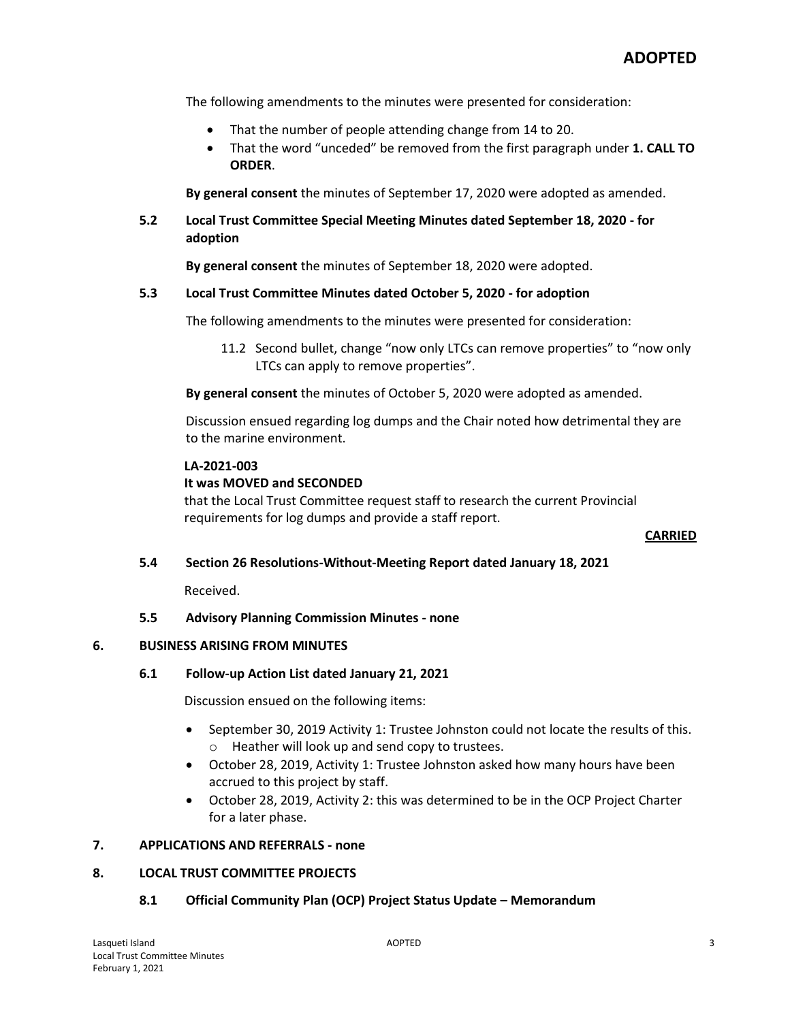The following amendments to the minutes were presented for consideration:

- That the number of people attending change from 14 to 20.
- That the word "unceded" be removed from the first paragraph under **1. CALL TO ORDER**.

**By general consent** the minutes of September 17, 2020 were adopted as amended.

# **5.2 Local Trust Committee Special Meeting Minutes dated September 18, 2020 - for adoption**

**By general consent** the minutes of September 18, 2020 were adopted.

# **5.3 Local Trust Committee Minutes dated October 5, 2020 - for adoption**

The following amendments to the minutes were presented for consideration:

11.2 Second bullet, change "now only LTCs can remove properties" to "now only LTCs can apply to remove properties".

**By general consent** the minutes of October 5, 2020 were adopted as amended.

Discussion ensued regarding log dumps and the Chair noted how detrimental they are to the marine environment.

## **LA-2021-003**

# **It was MOVED and SECONDED**

that the Local Trust Committee request staff to research the current Provincial requirements for log dumps and provide a staff report.

## **CARRIED**

**5.4 Section 26 Resolutions-Without-Meeting Report dated January 18, 2021**

Received.

# **5.5 Advisory Planning Commission Minutes - none**

# **6. BUSINESS ARISING FROM MINUTES**

## **6.1 Follow-up Action List dated January 21, 2021**

Discussion ensued on the following items:

- September 30, 2019 Activity 1: Trustee Johnston could not locate the results of this. o Heather will look up and send copy to trustees.
- October 28, 2019, Activity 1: Trustee Johnston asked how many hours have been accrued to this project by staff.
- October 28, 2019, Activity 2: this was determined to be in the OCP Project Charter for a later phase.

## **7. APPLICATIONS AND REFERRALS - none**

## **8. LOCAL TRUST COMMITTEE PROJECTS**

# **8.1 Official Community Plan (OCP) Project Status Update – Memorandum**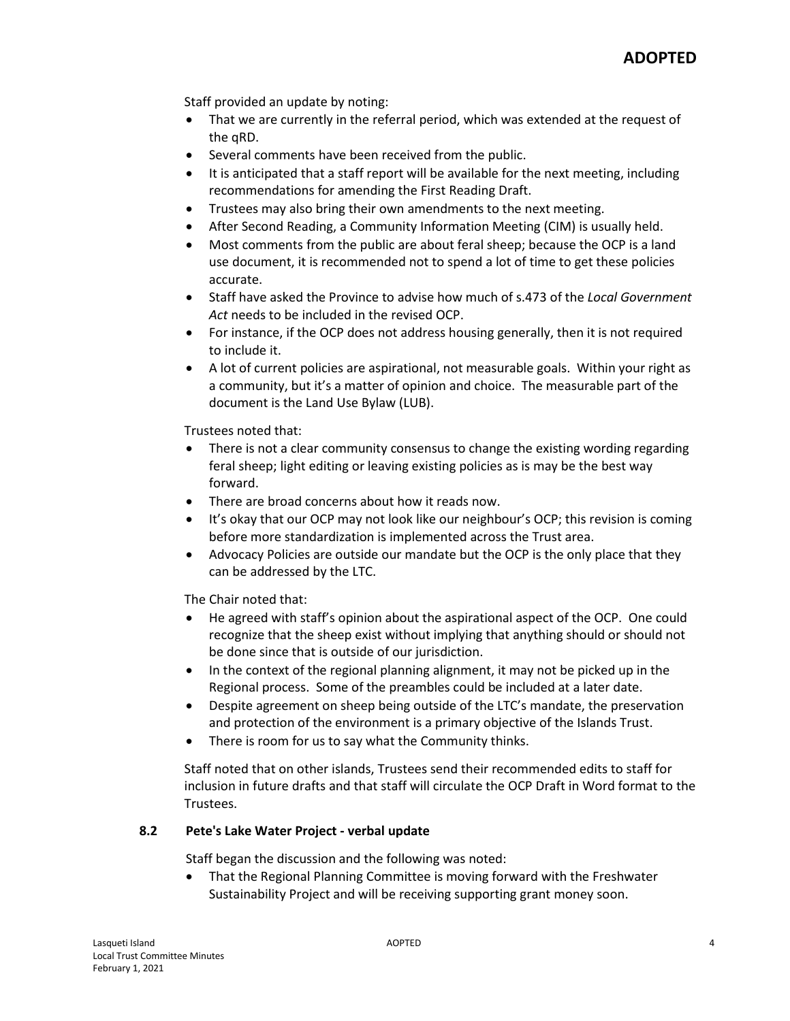Staff provided an update by noting:

- That we are currently in the referral period, which was extended at the request of the qRD.
- Several comments have been received from the public.
- It is anticipated that a staff report will be available for the next meeting, including recommendations for amending the First Reading Draft.
- Trustees may also bring their own amendments to the next meeting.
- After Second Reading, a Community Information Meeting (CIM) is usually held.
- Most comments from the public are about feral sheep; because the OCP is a land use document, it is recommended not to spend a lot of time to get these policies accurate.
- Staff have asked the Province to advise how much of s.473 of the *Local Government Act* needs to be included in the revised OCP.
- For instance, if the OCP does not address housing generally, then it is not required to include it.
- A lot of current policies are aspirational, not measurable goals. Within your right as a community, but it's a matter of opinion and choice. The measurable part of the document is the Land Use Bylaw (LUB).

Trustees noted that:

- There is not a clear community consensus to change the existing wording regarding feral sheep; light editing or leaving existing policies as is may be the best way forward.
- There are broad concerns about how it reads now.
- It's okay that our OCP may not look like our neighbour's OCP; this revision is coming before more standardization is implemented across the Trust area.
- Advocacy Policies are outside our mandate but the OCP is the only place that they can be addressed by the LTC.

The Chair noted that:

- He agreed with staff's opinion about the aspirational aspect of the OCP. One could recognize that the sheep exist without implying that anything should or should not be done since that is outside of our jurisdiction.
- In the context of the regional planning alignment, it may not be picked up in the Regional process. Some of the preambles could be included at a later date.
- Despite agreement on sheep being outside of the LTC's mandate, the preservation and protection of the environment is a primary objective of the Islands Trust.
- There is room for us to say what the Community thinks.

Staff noted that on other islands, Trustees send their recommended edits to staff for inclusion in future drafts and that staff will circulate the OCP Draft in Word format to the Trustees.

# **8.2 Pete's Lake Water Project - verbal update**

Staff began the discussion and the following was noted:

 That the Regional Planning Committee is moving forward with the Freshwater Sustainability Project and will be receiving supporting grant money soon.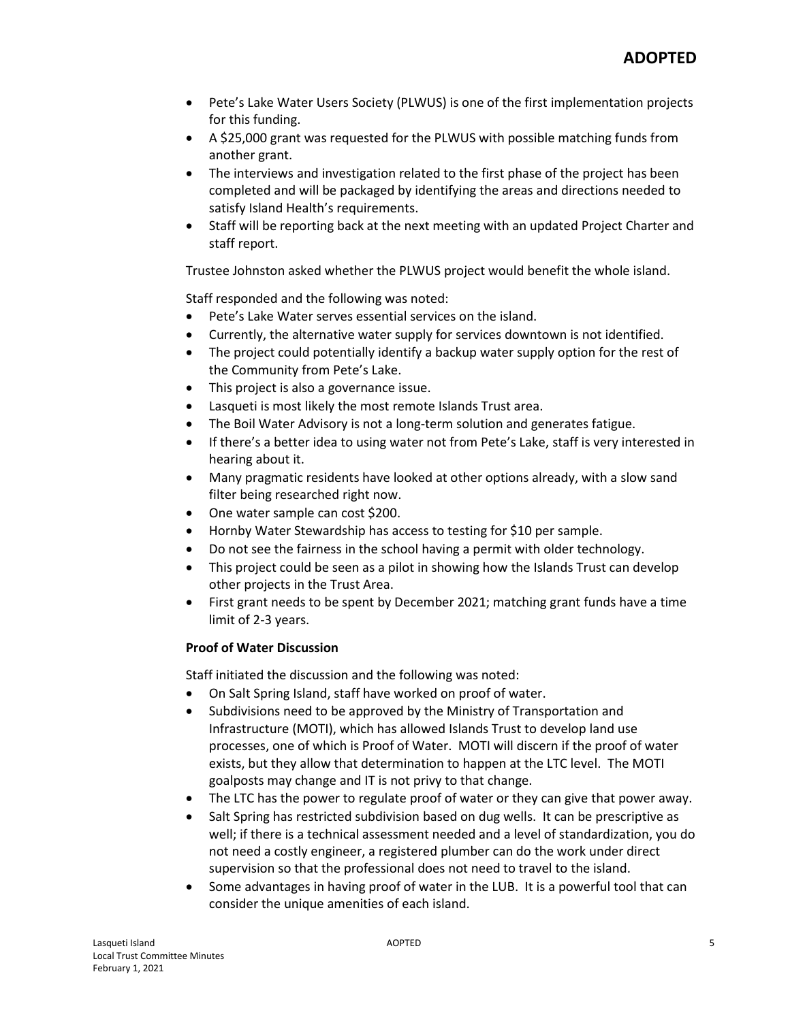- Pete's Lake Water Users Society (PLWUS) is one of the first implementation projects for this funding.
- A \$25,000 grant was requested for the PLWUS with possible matching funds from another grant.
- The interviews and investigation related to the first phase of the project has been completed and will be packaged by identifying the areas and directions needed to satisfy Island Health's requirements.
- Staff will be reporting back at the next meeting with an updated Project Charter and staff report.

Trustee Johnston asked whether the PLWUS project would benefit the whole island.

Staff responded and the following was noted:

- Pete's Lake Water serves essential services on the island.
- Currently, the alternative water supply for services downtown is not identified.
- The project could potentially identify a backup water supply option for the rest of the Community from Pete's Lake.
- This project is also a governance issue.
- Lasqueti is most likely the most remote Islands Trust area.
- The Boil Water Advisory is not a long-term solution and generates fatigue.
- If there's a better idea to using water not from Pete's Lake, staff is very interested in hearing about it.
- Many pragmatic residents have looked at other options already, with a slow sand filter being researched right now.
- One water sample can cost \$200.
- Hornby Water Stewardship has access to testing for \$10 per sample.
- Do not see the fairness in the school having a permit with older technology.
- This project could be seen as a pilot in showing how the Islands Trust can develop other projects in the Trust Area.
- First grant needs to be spent by December 2021; matching grant funds have a time limit of 2-3 years.

## **Proof of Water Discussion**

Staff initiated the discussion and the following was noted:

- On Salt Spring Island, staff have worked on proof of water.
- Subdivisions need to be approved by the Ministry of Transportation and Infrastructure (MOTI), which has allowed Islands Trust to develop land use processes, one of which is Proof of Water. MOTI will discern if the proof of water exists, but they allow that determination to happen at the LTC level. The MOTI goalposts may change and IT is not privy to that change.
- The LTC has the power to regulate proof of water or they can give that power away.
- Salt Spring has restricted subdivision based on dug wells. It can be prescriptive as well; if there is a technical assessment needed and a level of standardization, you do not need a costly engineer, a registered plumber can do the work under direct supervision so that the professional does not need to travel to the island.
- Some advantages in having proof of water in the LUB. It is a powerful tool that can consider the unique amenities of each island.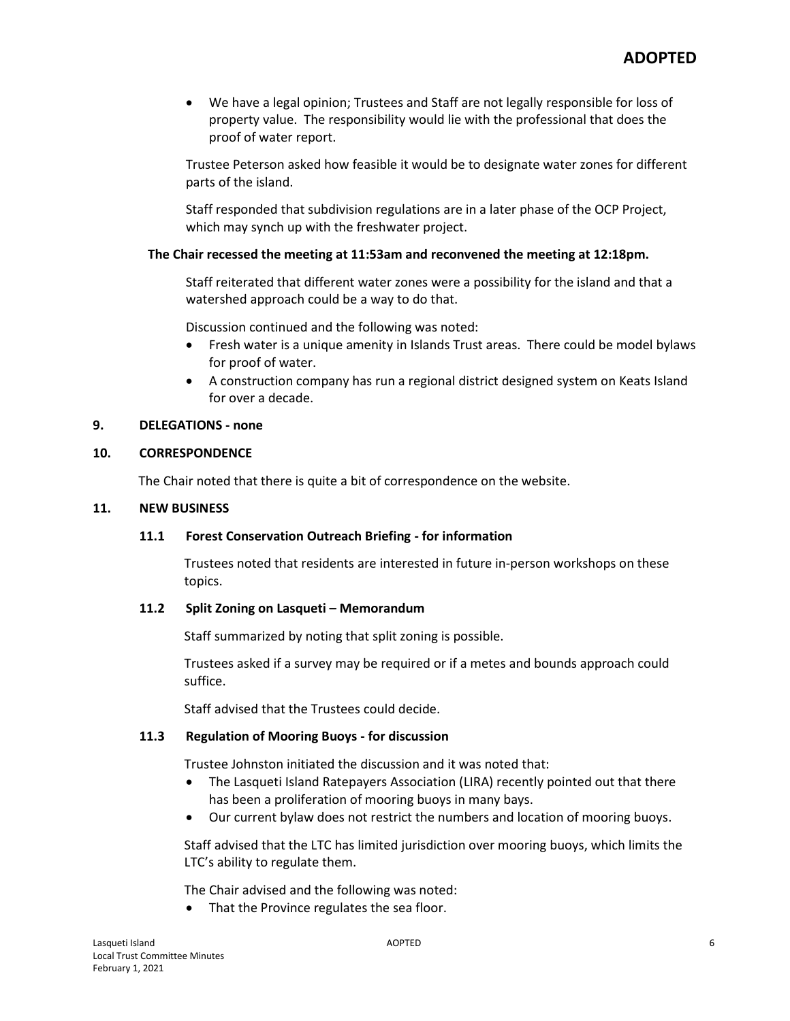We have a legal opinion; Trustees and Staff are not legally responsible for loss of property value. The responsibility would lie with the professional that does the proof of water report.

Trustee Peterson asked how feasible it would be to designate water zones for different parts of the island.

Staff responded that subdivision regulations are in a later phase of the OCP Project, which may synch up with the freshwater project.

## **The Chair recessed the meeting at 11:53am and reconvened the meeting at 12:18pm.**

Staff reiterated that different water zones were a possibility for the island and that a watershed approach could be a way to do that.

Discussion continued and the following was noted:

- Fresh water is a unique amenity in Islands Trust areas. There could be model bylaws for proof of water.
- A construction company has run a regional district designed system on Keats Island for over a decade.

# **9. DELEGATIONS - none**

## **10. CORRESPONDENCE**

The Chair noted that there is quite a bit of correspondence on the website.

#### **11. NEW BUSINESS**

## **11.1 Forest Conservation Outreach Briefing - for information**

Trustees noted that residents are interested in future in-person workshops on these topics.

## **11.2 Split Zoning on Lasqueti – Memorandum**

Staff summarized by noting that split zoning is possible.

Trustees asked if a survey may be required or if a metes and bounds approach could suffice.

Staff advised that the Trustees could decide.

## **11.3 Regulation of Mooring Buoys - for discussion**

Trustee Johnston initiated the discussion and it was noted that:

- The Lasqueti Island Ratepayers Association (LIRA) recently pointed out that there has been a proliferation of mooring buoys in many bays.
- Our current bylaw does not restrict the numbers and location of mooring buoys.

Staff advised that the LTC has limited jurisdiction over mooring buoys, which limits the LTC's ability to regulate them.

The Chair advised and the following was noted:

• That the Province regulates the sea floor.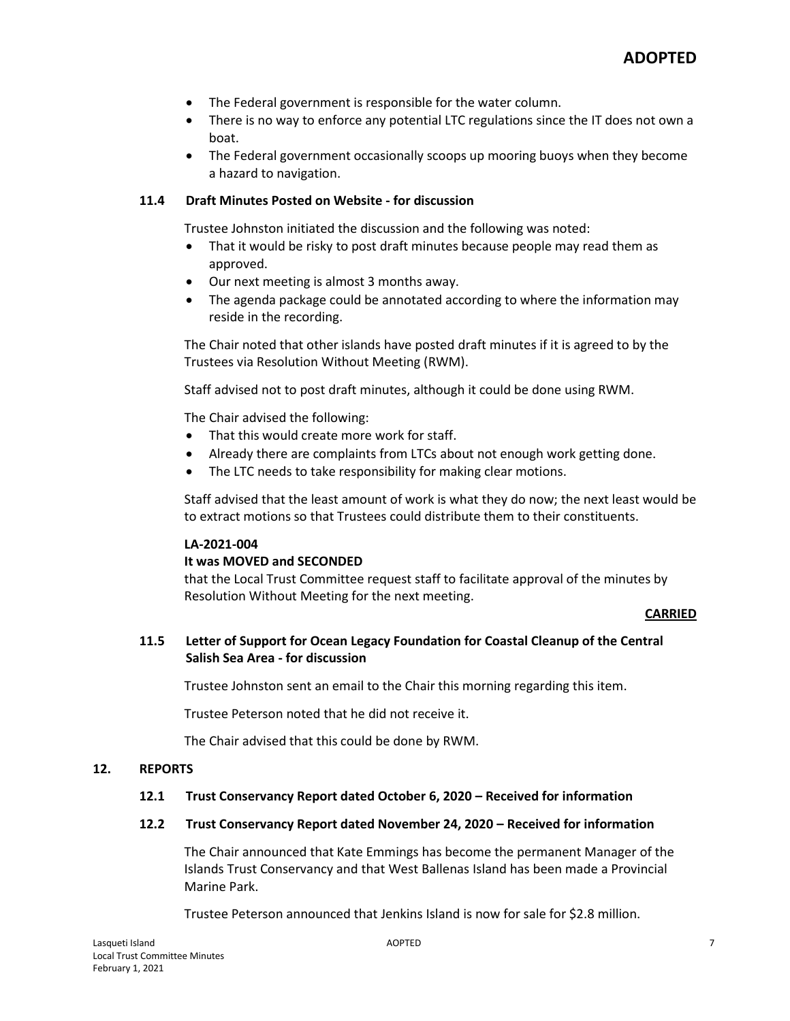- The Federal government is responsible for the water column.
- There is no way to enforce any potential LTC regulations since the IT does not own a boat.
- The Federal government occasionally scoops up mooring buoys when they become a hazard to navigation.

## **11.4 Draft Minutes Posted on Website - for discussion**

Trustee Johnston initiated the discussion and the following was noted:

- That it would be risky to post draft minutes because people may read them as approved.
- Our next meeting is almost 3 months away.
- The agenda package could be annotated according to where the information may reside in the recording.

The Chair noted that other islands have posted draft minutes if it is agreed to by the Trustees via Resolution Without Meeting (RWM).

Staff advised not to post draft minutes, although it could be done using RWM.

The Chair advised the following:

- That this would create more work for staff.
- Already there are complaints from LTCs about not enough work getting done.
- The LTC needs to take responsibility for making clear motions.

Staff advised that the least amount of work is what they do now; the next least would be to extract motions so that Trustees could distribute them to their constituents.

## **LA-2021-004**

## **It was MOVED and SECONDED**

that the Local Trust Committee request staff to facilitate approval of the minutes by Resolution Without Meeting for the next meeting.

## **CARRIED**

# **11.5 Letter of Support for Ocean Legacy Foundation for Coastal Cleanup of the Central Salish Sea Area - for discussion**

Trustee Johnston sent an email to the Chair this morning regarding this item.

Trustee Peterson noted that he did not receive it.

The Chair advised that this could be done by RWM.

#### **12. REPORTS**

## **12.1 Trust Conservancy Report dated October 6, 2020 – Received for information**

#### **12.2 Trust Conservancy Report dated November 24, 2020 – Received for information**

The Chair announced that Kate Emmings has become the permanent Manager of the Islands Trust Conservancy and that West Ballenas Island has been made a Provincial Marine Park.

Trustee Peterson announced that Jenkins Island is now for sale for \$2.8 million.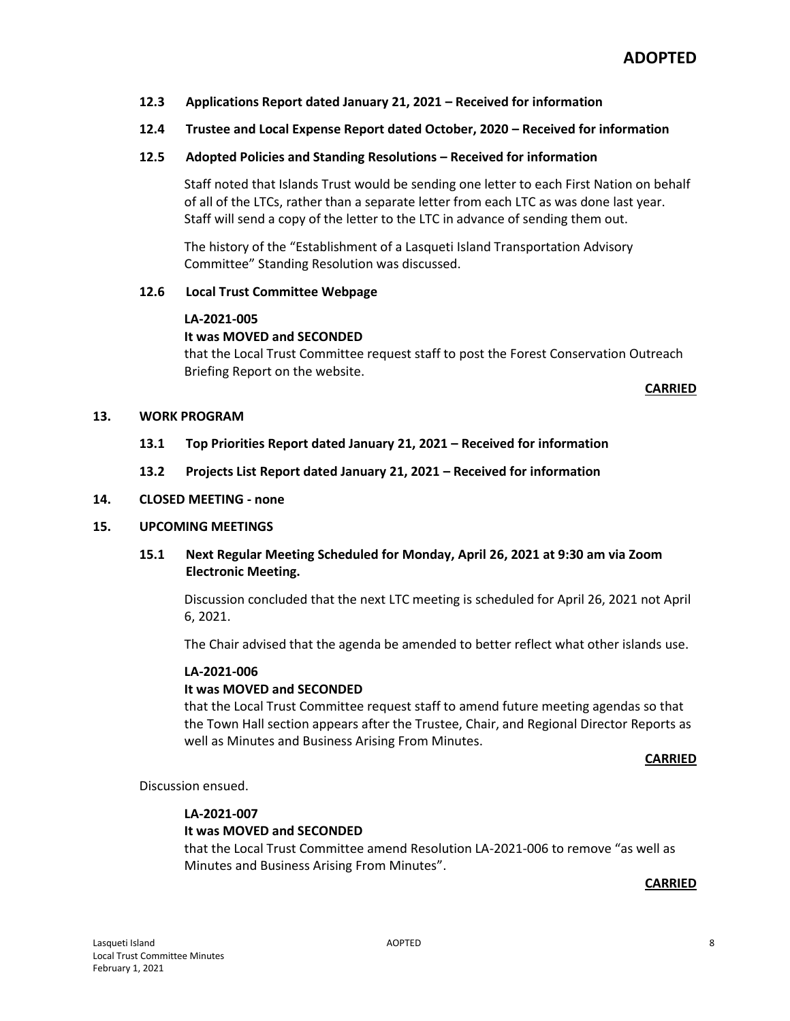- **12.3 Applications Report dated January 21, 2021 – Received for information**
- **12.4 Trustee and Local Expense Report dated October, 2020 – Received for information**
- **12.5 Adopted Policies and Standing Resolutions – Received for information**

Staff noted that Islands Trust would be sending one letter to each First Nation on behalf of all of the LTCs, rather than a separate letter from each LTC as was done last year. Staff will send a copy of the letter to the LTC in advance of sending them out.

The history of the "Establishment of a Lasqueti Island Transportation Advisory Committee" Standing Resolution was discussed.

#### **12.6 Local Trust Committee Webpage**

#### **LA-2021-005**

#### **It was MOVED and SECONDED**

that the Local Trust Committee request staff to post the Forest Conservation Outreach Briefing Report on the website.

#### **CARRIED**

#### **13. WORK PROGRAM**

- **13.1 Top Priorities Report dated January 21, 2021 – Received for information**
- **13.2 Projects List Report dated January 21, 2021 – Received for information**

#### **14. CLOSED MEETING - none**

#### **15. UPCOMING MEETINGS**

**15.1 Next Regular Meeting Scheduled for Monday, April 26, 2021 at 9:30 am via Zoom Electronic Meeting.**

Discussion concluded that the next LTC meeting is scheduled for April 26, 2021 not April 6, 2021.

The Chair advised that the agenda be amended to better reflect what other islands use.

#### **LA-2021-006**

#### **It was MOVED and SECONDED**

that the Local Trust Committee request staff to amend future meeting agendas so that the Town Hall section appears after the Trustee, Chair, and Regional Director Reports as well as Minutes and Business Arising From Minutes.

#### **CARRIED**

Discussion ensued.

#### **LA-2021-007**

# **It was MOVED and SECONDED**

that the Local Trust Committee amend Resolution LA-2021-006 to remove "as well as Minutes and Business Arising From Minutes".

#### **CARRIED**